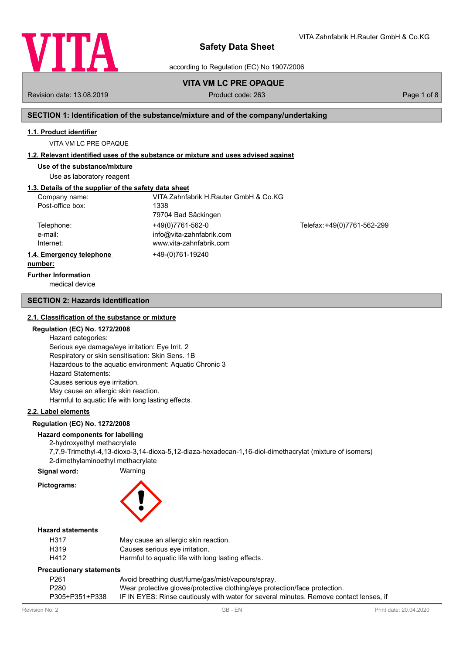

according to Regulation (EC) No 1907/2006

# **VITA VM LC PRE OPAQUE**

Revision date: 13.08.2019 Product code: 263 Page 1 of 8

VITA Zahnfabrik H.Rauter GmbH & Co.KG

# **SECTION 1: Identification of the substance/mixture and of the company/undertaking**

#### **1.1. Product identifier**

VITA VM LC PRE OPAQUE

### **1.2. Relevant identified uses of the substance or mixture and uses advised against**

**Use of the substance/mixture**

Use as laboratory reagent

# **1.3. Details of the supplier of the safety data sheet**

| Company name:            | VITA Zahnfabrik H.Rauter GmbH & Co.KG |                             |
|--------------------------|---------------------------------------|-----------------------------|
| Post-office box:         | 1338                                  |                             |
|                          | 79704 Bad Säckingen                   |                             |
| Telephone:               | +49(0)7761-562-0                      | Telefax: +49(0)7761-562-299 |
| e-mail:                  | info@vita-zahnfabrik.com              |                             |
| Internet:                | www.vita-zahnfabrik.com               |                             |
| 1.4. Emergency telephone | +49-(0)761-19240                      |                             |
| number:                  |                                       |                             |

medical device **Further Information**

#### **SECTION 2: Hazards identification**

#### **2.1. Classification of the substance or mixture**

## **Regulation (EC) No. 1272/2008**

Hazard categories: Serious eye damage/eye irritation: Eye Irrit. 2 Respiratory or skin sensitisation: Skin Sens. 1B Hazardous to the aquatic environment: Aquatic Chronic 3 Hazard Statements: Causes serious eye irritation. May cause an allergic skin reaction. Harmful to aquatic life with long lasting effects.

# **2.2. Label elements**

#### **Regulation (EC) No. 1272/2008**

# **Hazard components for labelling**

2-hydroxyethyl methacrylate 7,7,9-Trimethyl-4,13-dioxo-3,14-dioxa-5,12-diaza-hexadecan-1,16-diol-dimethacrylat (mixture of isomers) 2-dimethylaminoethyl methacrylate

**Signal word:** Warning

# **Pictograms:**



# **Hazard statements**

| H317 | May cause an allergic skin reaction.               |
|------|----------------------------------------------------|
| H319 | Causes serious eve irritation.                     |
| H412 | Harmful to aquatic life with long lasting effects. |

#### **Precautionary statements**

| Avoid breathing dust/fume/gas/mist/vapours/spray.                                      |
|----------------------------------------------------------------------------------------|
| Wear protective gloves/protective clothing/eye protection/face protection.             |
| IF IN EYES: Rinse cautiously with water for several minutes. Remove contact lenses, if |
|                                                                                        |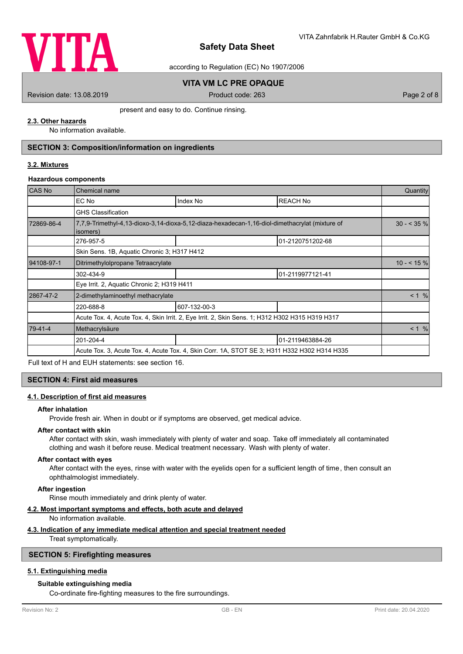

according to Regulation (EC) No 1907/2006

# **VITA VM LC PRE OPAQUE**

Revision date: 13.08.2019 Product code: 263 Page 2 of 8

present and easy to do. Continue rinsing.

# **2.3. Other hazards**

No information available.

# **SECTION 3: Composition/information on ingredients**

## **3.2. Mixtures**

#### **Hazardous components**

| <b>CAS No</b> | Chemical name                               |                                                                                                 |                  | Quantity    |  |
|---------------|---------------------------------------------|-------------------------------------------------------------------------------------------------|------------------|-------------|--|
|               | EC No                                       | Index No                                                                                        | <b>REACH No</b>  |             |  |
|               | <b>GHS Classification</b>                   |                                                                                                 |                  |             |  |
| 72869-86-4    | isomers)                                    | 7,7,9-Trimethyl-4,13-dioxo-3,14-dioxa-5,12-diaza-hexadecan-1,16-diol-dimethacrylat (mixture of  |                  | $30 - 35\%$ |  |
|               | 276-957-5                                   |                                                                                                 | 01-2120751202-68 |             |  |
|               | Skin Sens. 1B, Aguatic Chronic 3; H317 H412 |                                                                                                 |                  |             |  |
| 94108-97-1    | Ditrimethylolpropane Tetraacrylate          |                                                                                                 |                  | $10 - 5\%$  |  |
|               | 302-434-9                                   |                                                                                                 | 01-2119977121-41 |             |  |
|               | Eye Irrit. 2, Aquatic Chronic 2; H319 H411  |                                                                                                 |                  |             |  |
| 2867-47-2     | 2-dimethylaminoethyl methacrylate           |                                                                                                 |                  | < 1 %       |  |
|               | 220-688-8                                   | 607-132-00-3                                                                                    |                  |             |  |
|               |                                             | Acute Tox. 4, Acute Tox. 4, Skin Irrit. 2, Eye Irrit. 2, Skin Sens. 1; H312 H302 H315 H319 H317 |                  |             |  |
| 79-41-4       | Methacrylsäure                              |                                                                                                 |                  |             |  |
|               | 201-204-4                                   |                                                                                                 | 01-2119463884-26 |             |  |
|               |                                             | Acute Tox. 3, Acute Tox. 4, Acute Tox. 4, Skin Corr. 1A, STOT SE 3; H311 H332 H302 H314 H335    |                  |             |  |

Full text of H and EUH statements: see section 16.

#### **SECTION 4: First aid measures**

#### **4.1. Description of first aid measures**

#### **After inhalation**

Provide fresh air. When in doubt or if symptoms are observed, get medical advice.

# **After contact with skin**

After contact with skin, wash immediately with plenty of water and soap. Take off immediately all contaminated clothing and wash it before reuse. Medical treatment necessary. Wash with plenty of water.

#### **After contact with eyes**

After contact with the eyes, rinse with water with the eyelids open for a sufficient length of time, then consult an ophthalmologist immediately.

# **After ingestion**

Rinse mouth immediately and drink plenty of water.

#### **4.2. Most important symptoms and effects, both acute and delayed**

No information available.

#### **4.3. Indication of any immediate medical attention and special treatment needed**

Treat symptomatically.

# **SECTION 5: Firefighting measures**

# **5.1. Extinguishing media**

# **Suitable extinguishing media**

Co-ordinate fire-fighting measures to the fire surroundings.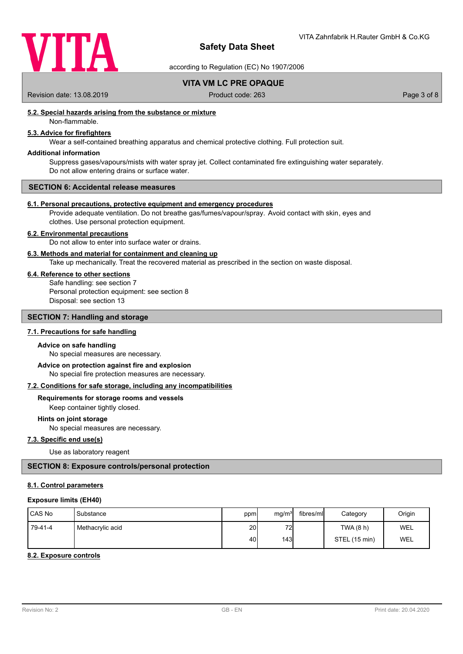

according to Regulation (EC) No 1907/2006

**VITA VM LC PRE OPAQUE**

Revision date: 13.08.2019 <br>
Product code: 263 Page 3 of 8

# **5.2. Special hazards arising from the substance or mixture**

Non-flammable.

# **5.3. Advice for firefighters**

Wear a self-contained breathing apparatus and chemical protective clothing. Full protection suit.

# **Additional information**

Suppress gases/vapours/mists with water spray jet. Collect contaminated fire extinguishing water separately. Do not allow entering drains or surface water.

#### **SECTION 6: Accidental release measures**

#### **6.1. Personal precautions, protective equipment and emergency procedures**

Provide adequate ventilation. Do not breathe gas/fumes/vapour/spray. Avoid contact with skin, eyes and clothes. Use personal protection equipment.

#### **6.2. Environmental precautions**

Do not allow to enter into surface water or drains.

#### **6.3. Methods and material for containment and cleaning up**

Take up mechanically. Treat the recovered material as prescribed in the section on waste disposal.

#### **6.4. Reference to other sections**

Safe handling: see section 7 Personal protection equipment: see section 8 Disposal: see section 13

# **SECTION 7: Handling and storage**

# **7.1. Precautions for safe handling**

#### **Advice on safe handling**

No special measures are necessary.

No special fire protection measures are necessary. **Advice on protection against fire and explosion**

#### **7.2. Conditions for safe storage, including any incompatibilities**

# **Requirements for storage rooms and vessels**

Keep container tightly closed.

# **Hints on joint storage**

No special measures are necessary.

# **7.3. Specific end use(s)**

Use as laboratory reagent

# **SECTION 8: Exposure controls/personal protection**

#### **8.1. Control parameters**

#### **Exposure limits (EH40)**

| <b>ICAS No</b> | Substance        | ppm             | mq/m <sup>3</sup> | fibres/ml | Category      | Origin     |
|----------------|------------------|-----------------|-------------------|-----------|---------------|------------|
| 79-41-4        | Methacrylic acid | 20 <sup>1</sup> | 72                |           | TWA (8 h)     | WEL        |
|                |                  | 40 l            | 143               |           | STEL (15 min) | <b>WEL</b> |

#### **8.2. Exposure controls**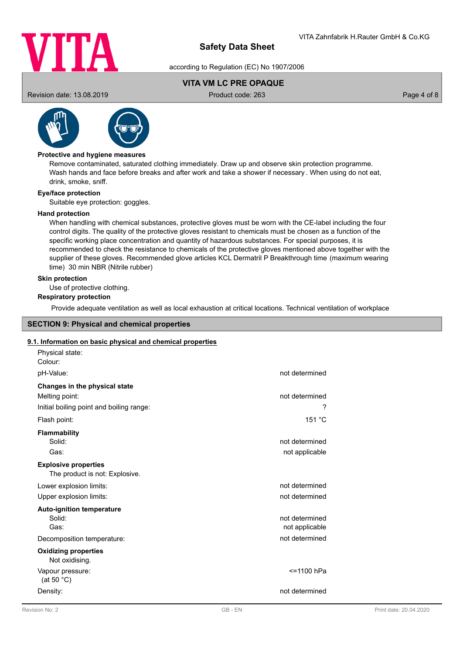

according to Regulation (EC) No 1907/2006

# **VITA VM LC PRE OPAQUE**

Revision date: 13.08.2019 Product code: 263 Page 4 of 8



# **Protective and hygiene measures**

Remove contaminated, saturated clothing immediately. Draw up and observe skin protection programme. Wash hands and face before breaks and after work and take a shower if necessary . When using do not eat, drink, smoke, sniff.

## **Eye/face protection**

Suitable eye protection: goggles.

## **Hand protection**

When handling with chemical substances, protective gloves must be worn with the CE-label including the four control digits. The quality of the protective gloves resistant to chemicals must be chosen as a function of the specific working place concentration and quantity of hazardous substances. For special purposes, it is recommended to check the resistance to chemicals of the protective gloves mentioned above together with the supplier of these gloves. Recommended glove articles KCL Dermatril P Breakthrough time (maximum wearing time) 30 min NBR (Nitrile rubber)

## **Skin protection**

Use of protective clothing.

# **Respiratory protection**

Provide adequate ventilation as well as local exhaustion at critical locations. Technical ventilation of workplace

# **SECTION 9: Physical and chemical properties**

# **9.1. Information on basic physical and chemical properties**

| Physical state:<br>Colour:                                    |                |
|---------------------------------------------------------------|----------------|
| pH-Value:                                                     | not determined |
| Changes in the physical state                                 |                |
| Melting point:                                                | not determined |
| Initial boiling point and boiling range:                      | ?              |
| Flash point:                                                  | 151 °C         |
| Flammability                                                  |                |
| Solid:                                                        | not determined |
| Gas:                                                          | not applicable |
| <b>Explosive properties</b><br>The product is not: Explosive. |                |
| Lower explosion limits:                                       | not determined |
| Upper explosion limits:                                       | not determined |
| <b>Auto-ignition temperature</b>                              |                |
| Solid:                                                        | not determined |
| Gas:                                                          | not applicable |
| Decomposition temperature:                                    | not determined |
| <b>Oxidizing properties</b><br>Not oxidising.                 |                |
| Vapour pressure:<br>(at 50 $^{\circ}$ C)                      | <=1100 hPa     |
| Density:                                                      | not determined |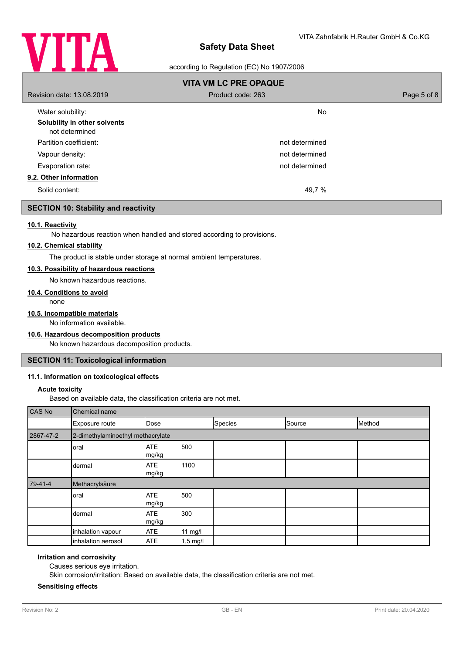

## according to Regulation (EC) No 1907/2006

|                                                | <b>VITA VM LC PRE OPAQUE</b> |             |
|------------------------------------------------|------------------------------|-------------|
| Revision date: 13.08.2019                      | Product code: 263            | Page 5 of 8 |
| Water solubility:                              | <b>No</b>                    |             |
| Solubility in other solvents<br>not determined |                              |             |
| Partition coefficient:                         | not determined               |             |
| Vapour density:                                | not determined               |             |
| Evaporation rate:                              | not determined               |             |
| 9.2. Other information                         |                              |             |
| Solid content:                                 | 49,7 %                       |             |

# **SECTION 10: Stability and reactivity**

# **10.1. Reactivity**

No hazardous reaction when handled and stored according to provisions.

#### **10.2. Chemical stability**

The product is stable under storage at normal ambient temperatures.

# **10.3. Possibility of hazardous reactions**

No known hazardous reactions.

#### **10.4. Conditions to avoid**

none

# **10.5. Incompatible materials**

No information available.

# **10.6. Hazardous decomposition products**

No known hazardous decomposition products.

# **SECTION 11: Toxicological information**

#### **11.1. Information on toxicological effects**

#### **Acute toxicity**

Based on available data, the classification criteria are not met.

| CAS No    | Chemical name                     |                     |           |         |        |        |
|-----------|-----------------------------------|---------------------|-----------|---------|--------|--------|
|           | Exposure route                    | Dose                |           | Species | Source | Method |
| 2867-47-2 | 2-dimethylaminoethyl methacrylate |                     |           |         |        |        |
|           | oral                              | <b>ATE</b><br>mg/kg | 500       |         |        |        |
|           | dermal                            | <b>ATE</b><br>mg/kg | 1100      |         |        |        |
|           |                                   |                     |           |         |        |        |
| 79-41-4   | Methacrylsäure                    |                     |           |         |        |        |
|           | oral                              | <b>ATE</b><br>mg/kg | 500       |         |        |        |
|           | dermal                            | <b>ATE</b><br>mg/kg | 300       |         |        |        |
|           | inhalation vapour                 | <b>ATE</b>          | 11 $mg/l$ |         |        |        |

#### **Irritation and corrosivity**

Causes serious eye irritation.

Skin corrosion/irritation: Based on available data, the classification criteria are not met.

#### **Sensitising effects**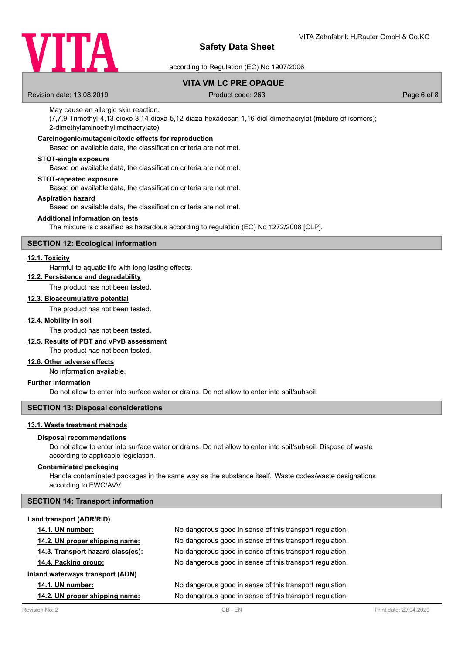

according to Regulation (EC) No 1907/2006

# **VITA VM LC PRE OPAQUE**

Revision date: 13.08.2019 Product code: 263 Page 6 of 8

#### May cause an allergic skin reaction.

(7,7,9-Trimethyl-4,13-dioxo-3,14-dioxa-5,12-diaza-hexadecan-1,16-diol-dimethacrylat (mixture of isomers); 2-dimethylaminoethyl methacrylate)

# **Carcinogenic/mutagenic/toxic effects for reproduction**

Based on available data, the classification criteria are not met.

#### **STOT-single exposure**

Based on available data, the classification criteria are not met.

#### **STOT-repeated exposure**

Based on available data, the classification criteria are not met.

#### **Aspiration hazard**

Based on available data, the classification criteria are not met.

#### **Additional information on tests**

The mixture is classified as hazardous according to regulation (EC) No 1272/2008 [CLP].

# **SECTION 12: Ecological information**

#### **12.1. Toxicity**

Harmful to aquatic life with long lasting effects.

# **12.2. Persistence and degradability**

The product has not been tested.

# **12.3. Bioaccumulative potential**

The product has not been tested.

#### **12.4. Mobility in soil**

The product has not been tested.

# **12.5. Results of PBT and vPvB assessment**

The product has not been tested.

# **12.6. Other adverse effects**

No information available.

# **Further information**

Do not allow to enter into surface water or drains. Do not allow to enter into soil/subsoil.

# **SECTION 13: Disposal considerations**

## **13.1. Waste treatment methods**

#### **Disposal recommendations**

Do not allow to enter into surface water or drains. Do not allow to enter into soil/subsoil. Dispose of waste according to applicable legislation.

#### **Contaminated packaging**

Handle contaminated packages in the same way as the substance itself. Waste codes/waste designations according to EWC/AVV

#### **SECTION 14: Transport information**

| Land transport (ADR/RID)          |                                                          |
|-----------------------------------|----------------------------------------------------------|
| <b>14.1. UN number:</b>           | No dangerous good in sense of this transport regulation. |
| 14.2. UN proper shipping name:    | No dangerous good in sense of this transport regulation. |
| 14.3. Transport hazard class(es): | No dangerous good in sense of this transport regulation. |
| 14.4. Packing group:              | No dangerous good in sense of this transport regulation. |
| Inland waterways transport (ADN)  |                                                          |
| <b>14.1. UN number:</b>           | No dangerous good in sense of this transport regulation. |
| 14.2. UN proper shipping name:    | No dangerous good in sense of this transport regulation. |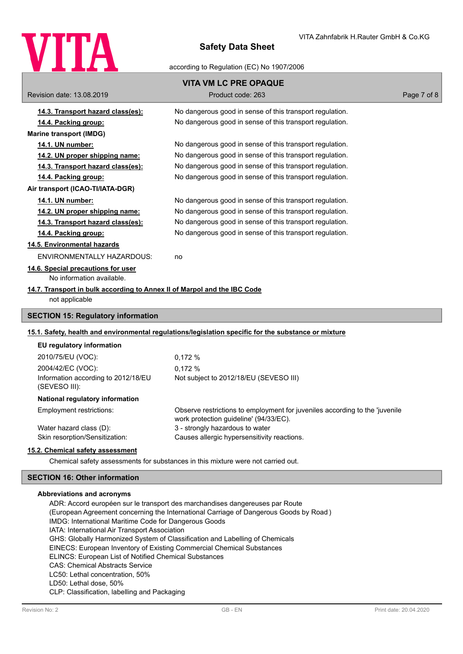

according to Regulation (EC) No 1907/2006

|                                                                          | <b>VITA VM LC PRE OPAQUE</b>                                                                                          |             |
|--------------------------------------------------------------------------|-----------------------------------------------------------------------------------------------------------------------|-------------|
| Revision date: 13.08.2019                                                | Product code: 263                                                                                                     | Page 7 of 8 |
| 14.3. Transport hazard class(es):                                        | No dangerous good in sense of this transport regulation.                                                              |             |
| 14.4. Packing group:                                                     | No dangerous good in sense of this transport regulation.                                                              |             |
| <b>Marine transport (IMDG)</b>                                           |                                                                                                                       |             |
| 14.1. UN number:                                                         | No dangerous good in sense of this transport regulation.                                                              |             |
| <u>14.2. UN proper shipping name:</u>                                    | No dangerous good in sense of this transport regulation.                                                              |             |
| 14.3. Transport hazard class(es):                                        | No dangerous good in sense of this transport regulation.                                                              |             |
| 14.4. Packing group:                                                     | No dangerous good in sense of this transport regulation.                                                              |             |
| Air transport (ICAO-TI/IATA-DGR)                                         |                                                                                                                       |             |
| 14.1. UN number:                                                         | No dangerous good in sense of this transport regulation.                                                              |             |
| 14.2. UN proper shipping name:                                           | No dangerous good in sense of this transport regulation.                                                              |             |
| 14.3. Transport hazard class(es):                                        | No dangerous good in sense of this transport regulation.                                                              |             |
| 14.4. Packing group:                                                     | No dangerous good in sense of this transport regulation.                                                              |             |
| 14.5. Environmental hazards                                              |                                                                                                                       |             |
| ENVIRONMENTALLY HAZARDOUS:                                               | no                                                                                                                    |             |
| 14.6. Special precautions for user                                       |                                                                                                                       |             |
| No information available.                                                |                                                                                                                       |             |
| 14.7. Transport in bulk according to Annex II of Marpol and the IBC Code |                                                                                                                       |             |
| not applicable                                                           |                                                                                                                       |             |
| <b>SECTION 15: Regulatory information</b>                                |                                                                                                                       |             |
|                                                                          | 15.1. Safety, health and environmental regulations/legislation specific for the substance or mixture                  |             |
| EU regulatory information                                                |                                                                                                                       |             |
| 2010/75/EU (VOC):                                                        | 0,172%                                                                                                                |             |
| 2004/42/EC (VOC):                                                        | 0.172%                                                                                                                |             |
| Information according to 2012/18/EU<br>(SEVESO III):                     | Not subject to 2012/18/EU (SEVESO III)                                                                                |             |
| National regulatory information                                          |                                                                                                                       |             |
| Employment restrictions:                                                 | Observe restrictions to employment for juveniles according to the 'juvenile<br>work protection guideline' (94/33/EC). |             |
| Water hazard class (D):                                                  | 3 - strongly hazardous to water                                                                                       |             |
| Skin resorption/Sensitization:                                           | Causes allergic hypersensitivity reactions.                                                                           |             |
| 15.2. Chemical safety assessment                                         |                                                                                                                       |             |
|                                                                          | Chemical safety assessments for substances in this mixture were not carried out.                                      |             |

# **SECTION 16: Other information**

#### **Abbreviations and acronyms**

ADR: Accord européen sur le transport des marchandises dangereuses par Route (European Agreement concerning the International Carriage of Dangerous Goods by Road ) IMDG: International Maritime Code for Dangerous Goods IATA: International Air Transport Association GHS: Globally Harmonized System of Classification and Labelling of Chemicals EINECS: European Inventory of Existing Commercial Chemical Substances ELINCS: European List of Notified Chemical Substances CAS: Chemical Abstracts Service LC50: Lethal concentration, 50% LD50: Lethal dose, 50% CLP: Classification, labelling and Packaging